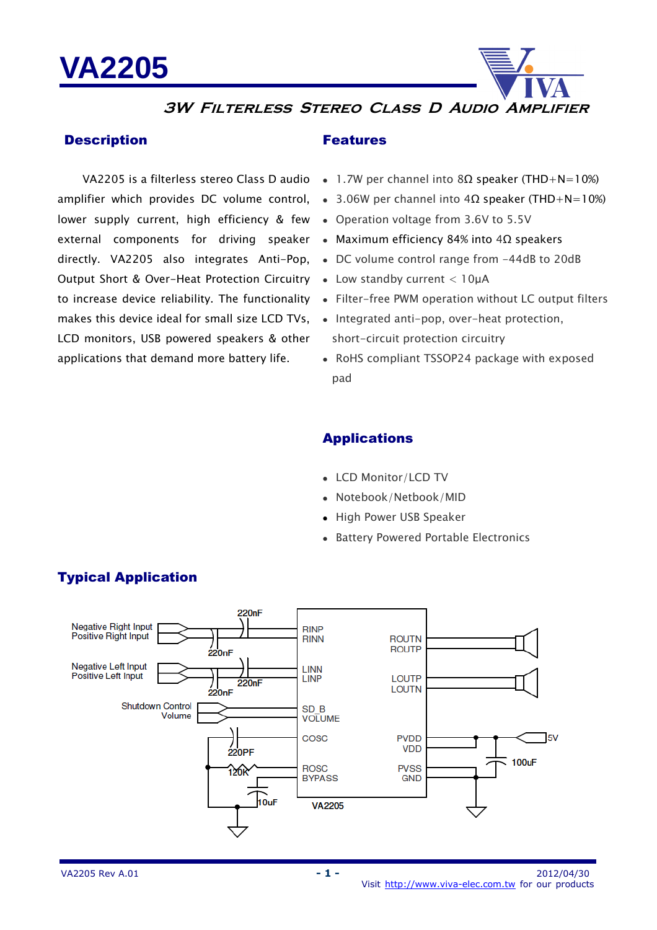

### **3W Filterless Stereo Class D Audio Amplifier**

#### **Description**

lower supply current, high efficiency & few external components for driving speaker Maximum efficiency 84% into 4Ω speakers directly. VA2205 also integrates Anti-Pop, Output Short & Over-Heat Protection Circuitry Low standby current < 10µA makes this device ideal for small size LCD TVs, LCD monitors, USB powered speakers & other applications that demand more battery life.

#### Features

- VA2205 is a filterless stereo Class D audio 1.7W per channel into 8Ω speaker (THD+N=10%)
- amplifier which provides DC volume control, 3.06W per channel into 4Ω speaker (THD+N=10%)
	- Operation voltage from 3.6V to 5.5V
	-
	- DC volume control range from -44dB to 20dB
	-
- to increase device reliability. The functionality Filter-free PWM operation without LC output filters
	- Integrated anti-pop, over-heat protection, short-circuit protection circuitry
	- RoHS compliant TSSOP24 package with exposed pad

### Applications

- LCD Monitor/LCD TV
- Notebook/Netbook/MID
- High Power USB Speaker
- Battery Powered Portable Electronics



## Typical Application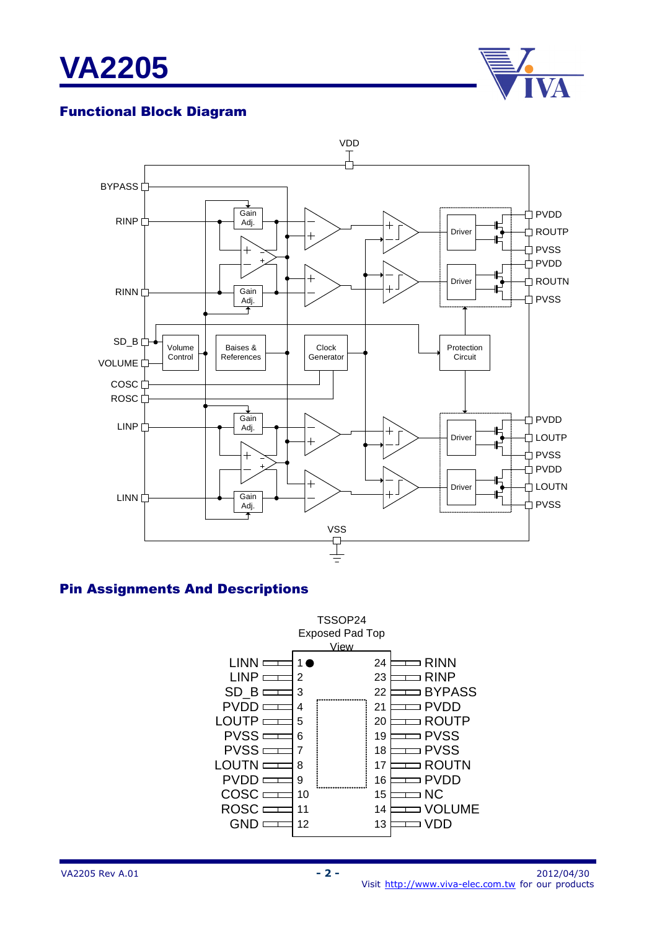



## Functional Block Diagram



#### Pin Assignments And Descriptions

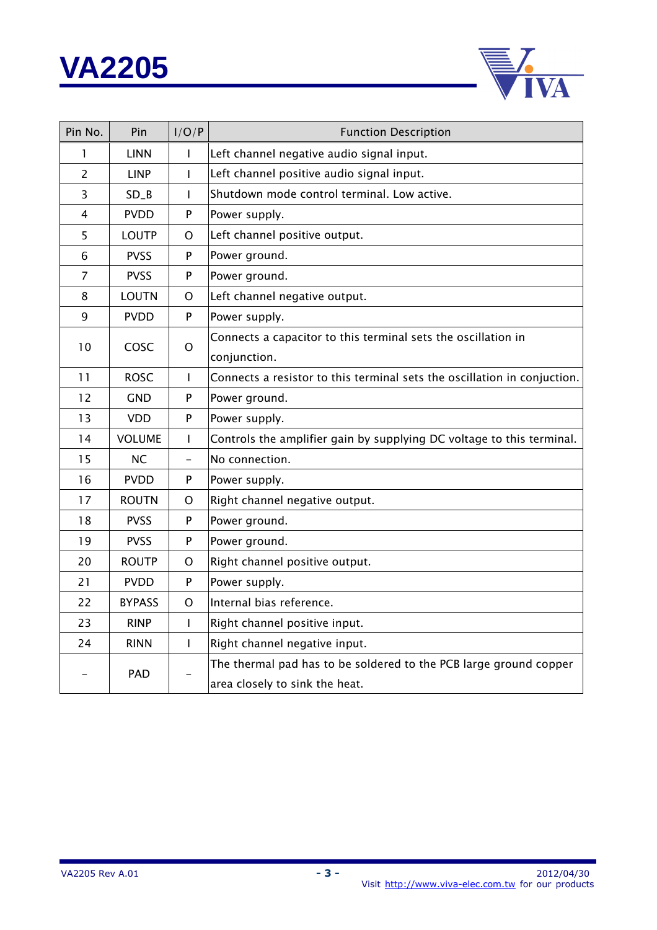



| Pin No.        | Pin                  | I/O/P                    | <b>Function Description</b>                                              |  |
|----------------|----------------------|--------------------------|--------------------------------------------------------------------------|--|
| 1              | <b>LINN</b>          | I                        | Left channel negative audio signal input.                                |  |
| $\overline{2}$ | <b>LINP</b>          | $\mathsf{I}$             | Left channel positive audio signal input.                                |  |
| 3              | $SD_B$               | T                        | Shutdown mode control terminal. Low active.                              |  |
| 4              | <b>PVDD</b>          | P                        | Power supply.                                                            |  |
| 5              | <b>LOUTP</b>         | O                        | Left channel positive output.                                            |  |
| 6              | <b>PVSS</b>          | P                        | Power ground.                                                            |  |
| $\overline{7}$ | <b>PVSS</b>          | P                        | Power ground.                                                            |  |
| 8              | <b>LOUTN</b>         | O                        | Left channel negative output.                                            |  |
| 9              | <b>PVDD</b>          | P                        | Power supply.                                                            |  |
| 10             |                      |                          | Connects a capacitor to this terminal sets the oscillation in            |  |
|                | COSC<br>$\mathsf{O}$ |                          | conjunction.                                                             |  |
| 11             | <b>ROSC</b>          | T                        | Connects a resistor to this terminal sets the oscillation in conjuction. |  |
| 12             | GND                  | P                        | Power ground.                                                            |  |
| 13             | <b>VDD</b>           | ${\sf P}$                | Power supply.                                                            |  |
| 14             | <b>VOLUME</b>        | $\mathbf{I}$             | Controls the amplifier gain by supplying DC voltage to this terminal.    |  |
| 15             | <b>NC</b>            | $\overline{\phantom{0}}$ | No connection.                                                           |  |
| 16             | <b>PVDD</b>          | P                        | Power supply.                                                            |  |
| 17             | <b>ROUTN</b>         | O                        | Right channel negative output.                                           |  |
| 18             | <b>PVSS</b>          | P                        | Power ground.                                                            |  |
| 19             | <b>PVSS</b>          | ${\sf P}$                | Power ground.                                                            |  |
| 20             | <b>ROUTP</b>         | O                        | Right channel positive output.                                           |  |
| 21             | <b>PVDD</b>          | P                        | Power supply.                                                            |  |
| 22             | <b>BYPASS</b>        | O                        | Internal bias reference.                                                 |  |
| 23             | <b>RINP</b>          | $\mathbf{I}$             | Right channel positive input.                                            |  |
| 24             | <b>RINN</b>          | T                        | Right channel negative input.                                            |  |
|                |                      |                          | The thermal pad has to be soldered to the PCB large ground copper        |  |
|                | PAD                  |                          | area closely to sink the heat.                                           |  |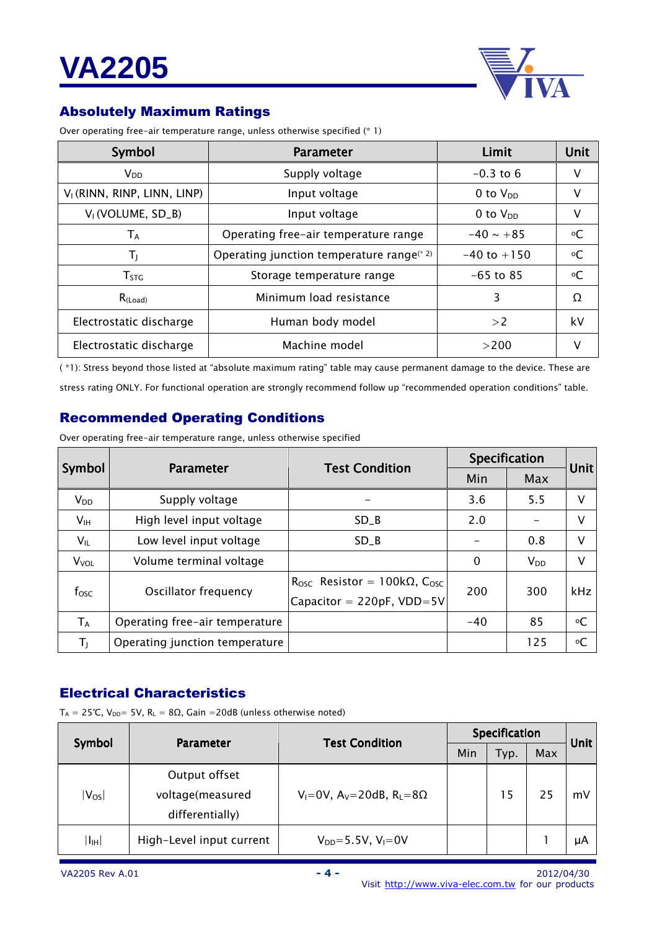

## Absolutely Maximum Ratings

Over operating free-air temperature range, unless otherwise specified (\* 1)

| Symbol                                  | <b>Parameter</b>                                      | Limit           | Unit      |
|-----------------------------------------|-------------------------------------------------------|-----------------|-----------|
| V <sub>DD</sub>                         | Supply voltage                                        | $-0.3$ to 6     | v         |
| V <sub>1</sub> (RINN, RINP, LINN, LINP) | Input voltage                                         | 0 to $V_{DD}$   | v         |
| V <sub>I</sub> (VOLUME, SD_B)           | Input voltage                                         | 0 to $V_{DD}$   | v         |
| $\mathsf{T}_\mathsf{A}$                 | Operating free-air temperature range                  | $-40 \sim +85$  | °C        |
| TJ.                                     | Operating junction temperature range <sup>(* 2)</sup> | $-40$ to $+150$ | $\circ$ C |
| T <sub>STG</sub>                        | Storage temperature range                             | $-65$ to 85     | °C        |
| $R_{(Load)}$                            | Minimum load resistance                               | 3               | $\Omega$  |
| Electrostatic discharge                 | Human body model                                      | >2              | kV        |
| Electrostatic discharge                 | Machine model                                         | >200            |           |

( \*1): Stress beyond those listed at "absolute maximum rating" table may cause permanent damage to the device. These are

stress rating ONLY. For functional operation are strongly recommend follow up "recommended operation conditions" table.

### Recommended Operating Conditions

Over operating free-air temperature range, unless otherwise specified

|                         | <b>Parameter</b>               | <b>Test Condition</b>               | Specification | Unit     |            |
|-------------------------|--------------------------------|-------------------------------------|---------------|----------|------------|
| Symbol                  |                                |                                     | Min           | Max      |            |
| $V_{DD}$                | Supply voltage                 |                                     | 3.6           | 5.5      | v          |
| V <sub>IH</sub>         | High level input voltage       | SD B                                | 2.0           |          | V          |
| $V_{IL}$                | Low level input voltage        | SD B                                |               | 0.8      | V          |
| <b>V</b> <sub>VOL</sub> | Volume terminal voltage        |                                     | $\Omega$      | $V_{DD}$ | v          |
| f <sub>osc</sub>        | Oscillator frequency           | Rosc Resistor = $100k\Omega$ , Cosc | 200           | 300      | kHz        |
|                         |                                | Capacitor = $220pF$ , VDD=5V        |               |          |            |
| $T_A$                   | Operating free-air temperature |                                     | $-40$         | 85       | $^{\circ}$ |
| $T_1$                   | Operating junction temperature |                                     |               | 125      | $\circ$ C  |

#### Electrical Characteristics

 $T_A = 25$ °C,  $V_{DD} = 5V$ ,  $R_L = 8Ω$ , Gain = 20dB (unless otherwise noted)

| Symbol         | <b>Parameter</b>         | <b>Test Condition</b>                 | Specification |      |     | <b>Unit</b> |
|----------------|--------------------------|---------------------------------------|---------------|------|-----|-------------|
|                |                          |                                       | Min           | Typ. | Max |             |
|                | Output offset            |                                       |               |      |     |             |
| $ V_{OS} $     | voltage(measured         | $V_1=0V$ , $A_V=20dB$ , $R_L=8\Omega$ |               | 15   | 25  | mV          |
|                | differentially)          |                                       |               |      |     |             |
| $ I_{\rm IH} $ | High-Level input current | $V_{DD} = 5.5V$ , $V_1 = 0V$          |               |      |     | μA          |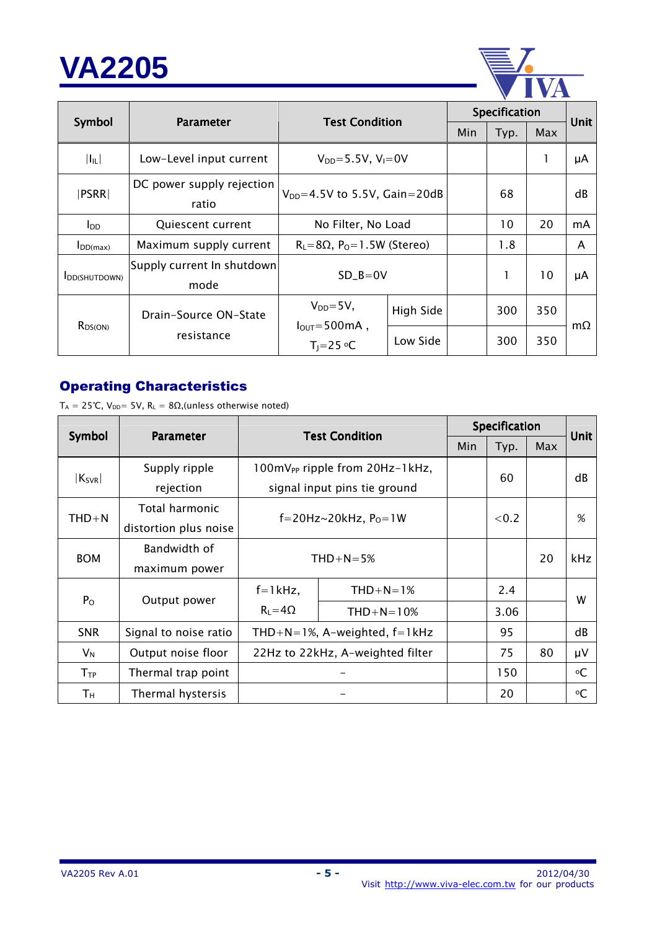

|                       |                                    |                                                     | Specification |     |      |     |             |
|-----------------------|------------------------------------|-----------------------------------------------------|---------------|-----|------|-----|-------------|
| Symbol                | <b>Parameter</b>                   | <b>Test Condition</b>                               |               | Min | Typ. | Max | <b>Unit</b> |
| $ I_{IL} $            | Low-Level input current            | $V_{DD} = 5.5V$ , $V_1 = 0V$                        |               |     |      | 1   | μA          |
| PSRR                  | DC power supply rejection<br>ratio | $V_{DD} = 4.5V$ to 5.5V, Gain=20dB                  |               |     | 68   |     | dB          |
| $I_{DD}$              | Quiescent current                  | No Filter, No Load                                  |               |     | 10   | 20  | mA          |
| $I_{DD(max)}$         | Maximum supply current             | $R_l = 8\Omega$ , $P_0 = 1.5W$ (Stereo)             |               |     | 1.8  |     | A           |
| <b>I</b> DD(SHUTDOWN) | Supply current In shutdown<br>mode | $SD$ <sub>-B</sub> =0V                              |               |     | 1    | 10  | μA          |
|                       | Drain-Source ON-State              | $V_{DD} = 5V$ ,                                     | High Side     |     | 300  | 350 | $m\Omega$   |
| $R_{DS(ON)}$          | resistance                         | $I_{\text{OUT}} = 500 \text{mA}$ ,<br>$T_1 = 25$ °C | Low Side      |     | 300  | 350 |             |

## Operating Characteristics

 $T_A = 25^{\circ}C$ ,  $V_{DD} = 5V$ ,  $R_L = 8\Omega$ , (unless otherwise noted)

|                                    |                       |                                  | Specification                              |  |       | <b>Unit</b> |            |
|------------------------------------|-----------------------|----------------------------------|--------------------------------------------|--|-------|-------------|------------|
| Symbol                             | <b>Parameter</b>      | <b>Test Condition</b>            |                                            |  | Typ.  | Max         |            |
|                                    | Supply ripple         |                                  | 100mV <sub>PP</sub> ripple from 20Hz-1kHz, |  |       |             | dB         |
| $ K_{SVR} $                        | rejection             |                                  | signal input pins tie ground               |  | 60    |             |            |
|                                    | Total harmonic        |                                  |                                            |  |       |             |            |
| $THD + N$<br>distortion plus noise |                       | f=20Hz~20kHz, $P_0 = 1W$         |                                            |  | < 0.2 |             | %          |
|                                    | Bandwidth of          |                                  |                                            |  |       | 20          | <b>kHz</b> |
| <b>BOM</b>                         | maximum power         | $THD+N=5%$                       |                                            |  |       |             |            |
| $P_{O}$                            | Output power          | $f=1$ kHz,                       | $THD+N=1%$                                 |  | 2.4   |             | W          |
|                                    |                       | $R_L = 4\Omega$                  | $THD+N=10%$                                |  | 3.06  |             |            |
| <b>SNR</b>                         | Signal to noise ratio | THD+N=1%, A-weighted, $f=1$ kHz  |                                            |  | 95    |             | dB         |
| $V_N$                              | Output noise floor    | 22Hz to 22kHz, A-weighted filter |                                            |  | 75    | 80          | μV         |
| $T_{TP}$                           | Thermal trap point    |                                  |                                            |  | 150   |             | °C         |
| Τн                                 | Thermal hystersis     |                                  |                                            |  | 20    |             | °C         |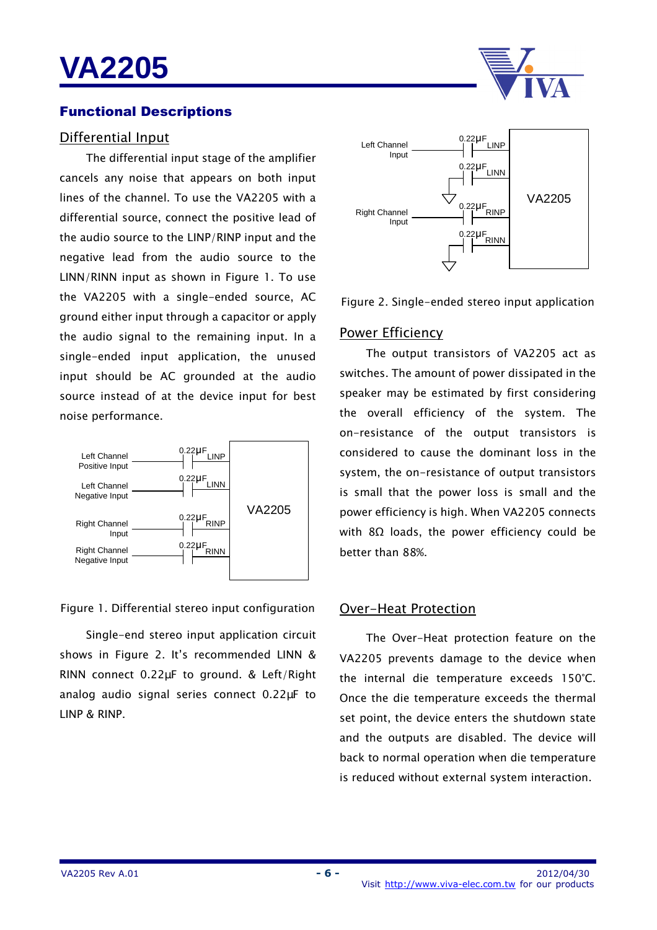#### Functional Descriptions

#### Differential Input

The differential input stage of the amplifier cancels any noise that appears on both input lines of the channel. To use the VA2205 with a differential source, connect the positive lead of the audio source to the LINP/RINP input and the negative lead from the audio source to the LINN/RINN input as shown in Figure 1. To use the VA2205 with a single-ended source, AC ground either input through a capacitor or apply the audio signal to the remaining input. In a single-ended input application, the unused input should be AC grounded at the audio source instead of at the device input for best noise performance.



#### Figure 1. Differential stereo input configuration

Single-end stereo input application circuit shows in Figure 2. It's recommended LINN & RINN connect 0.22µF to ground. & Left/Right analog audio signal series connect 0.22µF to LINP & RINP.



Figure 2. Single-ended stereo input application

#### Power Efficiency

The output transistors of VA2205 act as switches. The amount of power dissipated in the speaker may be estimated by first considering the overall efficiency of the system. The on-resistance of the output transistors is considered to cause the dominant loss in the system, the on-resistance of output transistors is small that the power loss is small and the power efficiency is high. When VA2205 connects with 8Ω loads, the power efficiency could be better than 88%.

#### Over-Heat Protection

The Over-Heat protection feature on the VA2205 prevents damage to the device when the internal die temperature exceeds 150°C. Once the die temperature exceeds the thermal set point, the device enters the shutdown state and the outputs are disabled. The device will back to normal operation when die temperature is reduced without external system interaction.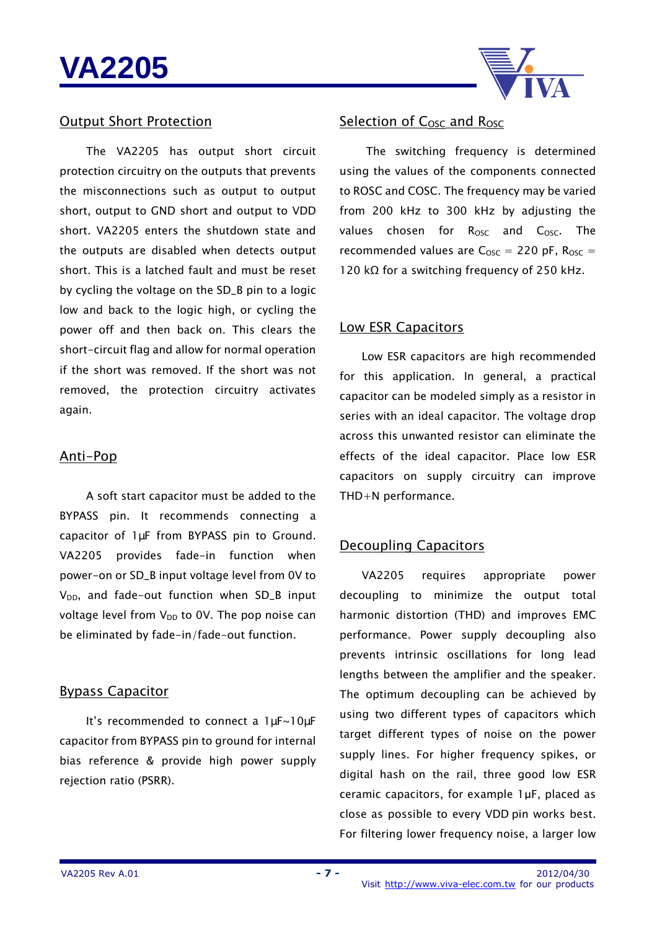

#### Output Short Protection

The VA2205 has output short circuit protection circuitry on the outputs that prevents the misconnections such as output to output short, output to GND short and output to VDD short. VA2205 enters the shutdown state and the outputs are disabled when detects output short. This is a latched fault and must be reset by cycling the voltage on the SD\_B pin to a logic low and back to the logic high, or cycling the power off and then back on. This clears the short-circuit flag and allow for normal operation if the short was removed. If the short was not removed, the protection circuitry activates again.

#### Anti-Pop

A soft start capacitor must be added to the BYPASS pin. It recommends connecting a capacitor of 1µF from BYPASS pin to Ground. VA2205 provides fade-in function when power-on or SD\_B input voltage level from 0V to  $V_{DD}$ , and fade-out function when SD\_B input voltage level from  $V_{DD}$  to 0V. The pop noise can be eliminated by fade-in/fade-out function.

#### Bypass Capacitor

It's recommended to connect a 1µF~10µF capacitor from BYPASS pin to ground for internal bias reference & provide high power supply rejection ratio (PSRR).

### Selection of C<sub>OSC</sub> and R<sub>OSC</sub>

The switching frequency is determined using the values of the components connected to ROSC and COSC. The frequency may be varied from 200 kHz to 300 kHz by adjusting the values chosen for R<sub>OSC</sub> and C<sub>OSC</sub>. The recommended values are  $C<sub>osc</sub> = 220$  pF,  $R<sub>osc</sub> =$ 120 kΩ for a switching frequency of 250 kHz.

#### Low ESR Capacitors

Low ESR capacitors are high recommended for this application. In general, a practical capacitor can be modeled simply as a resistor in series with an ideal capacitor. The voltage drop across this unwanted resistor can eliminate the effects of the ideal capacitor. Place low ESR capacitors on supply circuitry can improve THD+N performance.

#### Decoupling Capacitors

VA2205 requires appropriate power decoupling to minimize the output total harmonic distortion (THD) and improves EMC performance. Power supply decoupling also prevents intrinsic oscillations for long lead lengths between the amplifier and the speaker. The optimum decoupling can be achieved by using two different types of capacitors which target different types of noise on the power supply lines. For higher frequency spikes, or digital hash on the rail, three good low ESR ceramic capacitors, for example 1µF, placed as close as possible to every VDD pin works best. For filtering lower frequency noise, a larger low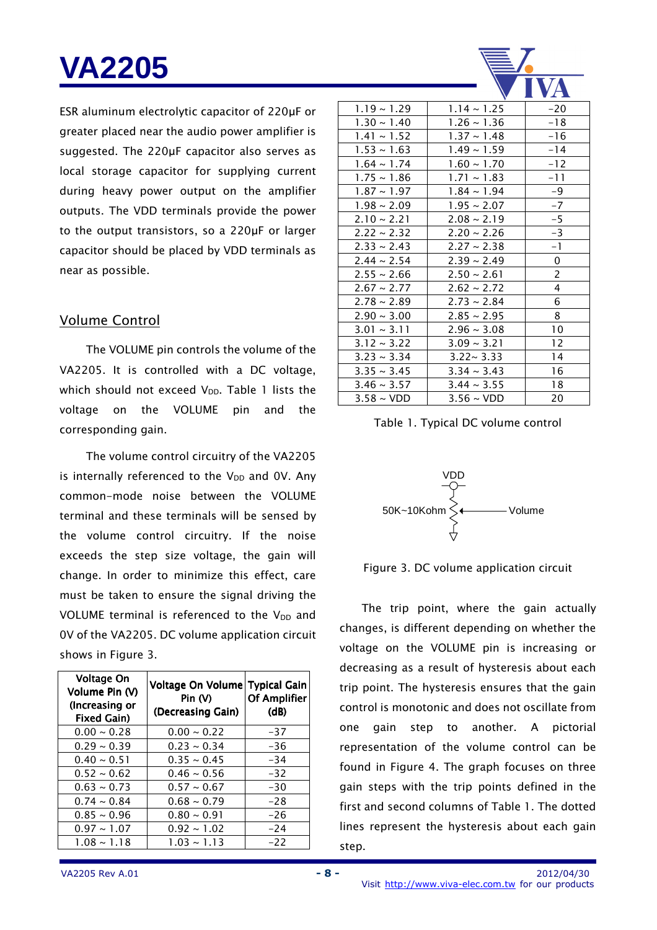ESR aluminum electrolytic capacitor of 220µF or greater placed near the audio power amplifier is suggested. The 220µF capacitor also serves as local storage capacitor for supplying current during heavy power output on the amplifier outputs. The VDD terminals provide the power to the output transistors, so a 220µF or larger capacitor should be placed by VDD terminals as near as possible.

#### Volume Control

The VOLUME pin controls the volume of the VA2205. It is controlled with a DC voltage, which should not exceed  $V_{DD}$ . Table 1 lists the voltage on the VOLUME pin and the corresponding gain.

The volume control circuitry of the VA2205 is internally referenced to the  $V_{DD}$  and OV. Any common-mode noise between the VOLUME terminal and these terminals will be sensed by the volume control circuitry. If the noise exceeds the step size voltage, the gain will change. In order to minimize this effect, care must be taken to ensure the signal driving the VOLUME terminal is referenced to the  $V_{DD}$  and 0V of the VA2205. DC volume application circuit shows in Figure 3.

| Voltage On<br>Volume Pin (V)<br>(Increasing or<br>Fixed Gain) | Voltage On Volume Typical Gain<br>Pin $(V)$<br>(Decreasing Gain) | <b>Of Amplifier</b><br>(d) |
|---------------------------------------------------------------|------------------------------------------------------------------|----------------------------|
| $0.00 - 0.28$                                                 | $0.00 \sim 0.22$                                                 | -37                        |
| $0.29 - 0.39$                                                 | $0.23 \sim 0.34$                                                 | $-36$                      |
| $0.40 \sim 0.51$                                              | $0.35 \sim 0.45$                                                 | $-34$                      |
| $0.52 \sim 0.62$                                              | $0.46 \sim 0.56$                                                 | $-32$                      |
| $0.63 \sim 0.73$                                              | $0.57 - 0.67$                                                    | -30                        |
| $0.74 \sim 0.84$                                              | $0.68 \sim 0.79$                                                 | $-28$                      |
| $0.85 \sim 0.96$                                              | $0.80 \sim 0.91$                                                 | $-26$                      |
| $0.97 \sim 1.07$                                              | $0.92 \sim 1.02$                                                 | $-24$                      |
| $1.08 \sim 1.18$                                              | $1.03 \sim 1.13$                                                 | $-22$                      |

|                  |                        | <b>VA</b>      |
|------------------|------------------------|----------------|
| $1.19 - 1.29$    | $1.14 \sim 1.25$       | $-20$          |
| $1.30 \sim 1.40$ | $1.26 - 1.36$          | $-18$          |
| $1.41 \sim 1.52$ | $1.37 - 1.48$          | $-16$          |
| $1.53 \sim 1.63$ | $1.49 - 1.59$          | -14            |
| $1.64 \sim 1.74$ | $1.60 - 1.70$          | $-12$          |
| $1.75 \sim 1.86$ | $1.71 \sim 1.83$       | -11            |
| $1.87 - 1.97$    | $1.84 \sim 1.94$       | -9             |
| $1.98 \sim 2.09$ | $1.95 \sim 2.07$       | $-7$           |
| $2.10 - 2.21$    | $2.08 \sim 2.19$       | $-5$           |
| $2.22 \sim 2.32$ | $2.20 - 2.26$          | -3             |
| $2.33 \sim 2.43$ | $2.27 - 2.38$          | $-1$           |
| $2.44 \sim 2.54$ | $2.39 \sim 2.49$       | 0              |
| $2.55 \sim 2.66$ | $2.50 \sim 2.61$       | $\overline{c}$ |
| $2.67 \sim 2.77$ | $2.62 \sim 2.72$       | 4              |
| $2.78 \sim 2.89$ | $2.73 - 2.84$          | 6              |
| $2.90 - 3.00$    | $2.85 \sim 2.95$       | 8              |
| $3.01 \sim 3.11$ | $2.96 - 3.08$          | 10             |
| $3.12 \sim 3.22$ | $3.09 - 3.21$          | 12             |
| $3.23 \sim 3.34$ | $3.22 - 3.33$          | 14             |
| $3.35 \sim 3.45$ | $3.34 \sim 3.43$       | 16             |
| $3.46 \sim 3.57$ | $3.44 \sim 3.55$       | 18             |
| $3.58 \sim$ VDD  | $3.56 \sim \text{VDD}$ | 20             |

#### Table 1. Typical DC volume control





The trip point, where the gain actually changes, is different depending on whether the voltage on the VOLUME pin is increasing or decreasing as a result of hysteresis about each trip point. The hysteresis ensures that the gain control is monotonic and does not oscillate from one gain step to another. A pictorial representation of the volume control can be found in Figure 4. The graph focuses on three gain steps with the trip points defined in the first and second columns of Table 1. The dotted lines represent the hysteresis about each gain step.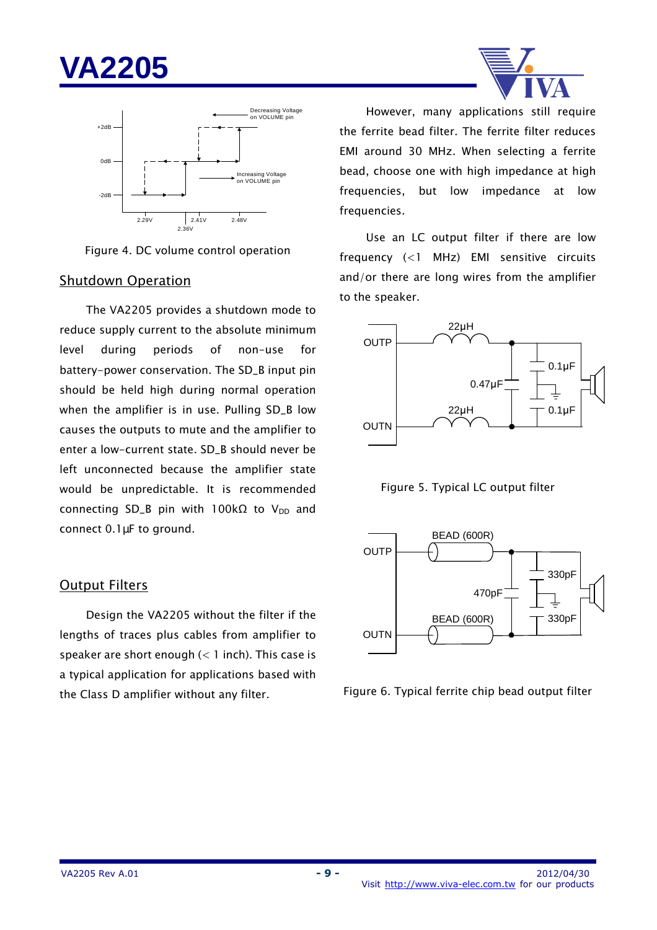



Figure 4. DC volume control operation

#### Shutdown Operation

The VA2205 provides a shutdown mode to reduce supply current to the absolute minimum level during periods of non-use for battery-power conservation. The SD\_B input pin should be held high during normal operation when the amplifier is in use. Pulling SD\_B low causes the outputs to mute and the amplifier to enter a low-current state. SD\_B should never be left unconnected because the amplifier state would be unpredictable. It is recommended connecting SD\_B pin with 100kΩ to V<sub>DD</sub> and connect 0.1µF to ground.

#### Output Filters

Design the VA2205 without the filter if the lengths of traces plus cables from amplifier to speaker are short enough (< 1 inch). This case is a typical application for applications based with the Class D amplifier without any filter.



However, many applications still require the ferrite bead filter. The ferrite filter reduces EMI around 30 MHz. When selecting a ferrite bead, choose one with high impedance at high frequencies, but low impedance at low frequencies.

Use an LC output filter if there are low frequency (<1 MHz) EMI sensitive circuits and/or there are long wires from the amplifier to the speaker.







Figure 6. Typical ferrite chip bead output filter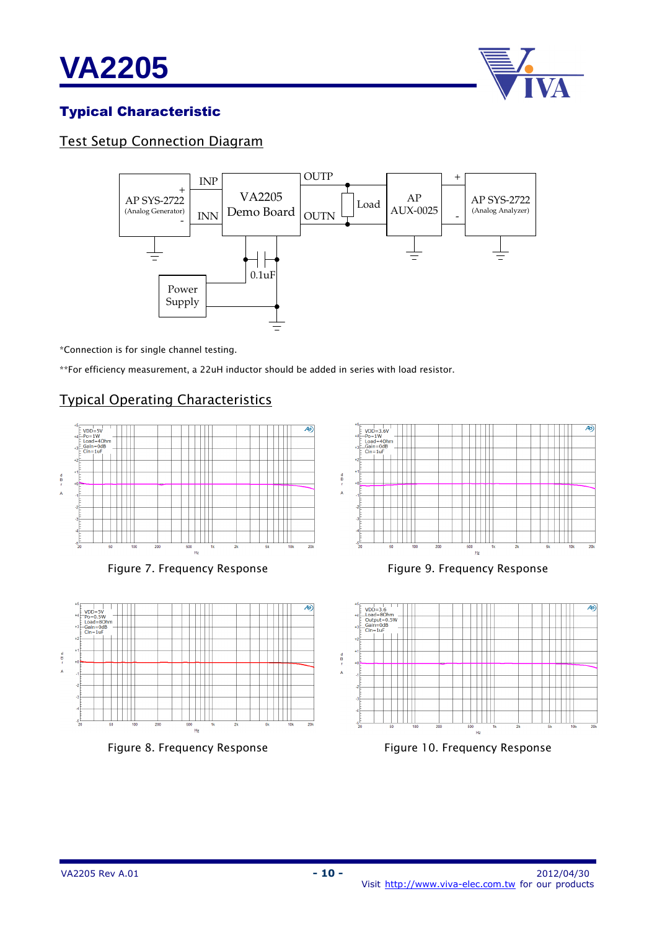



## Typical Characteristic

## Test Setup Connection Diagram



\*Connection is for single channel testing.

\*\*For efficiency measurement, a 22uH inductor should be added in series with load resistor.

### Typical Operating Characteristics



Figure 7. Frequency Response



Figure 8. Frequency Response



Figure 9. Frequency Response



Figure 10. Frequency Response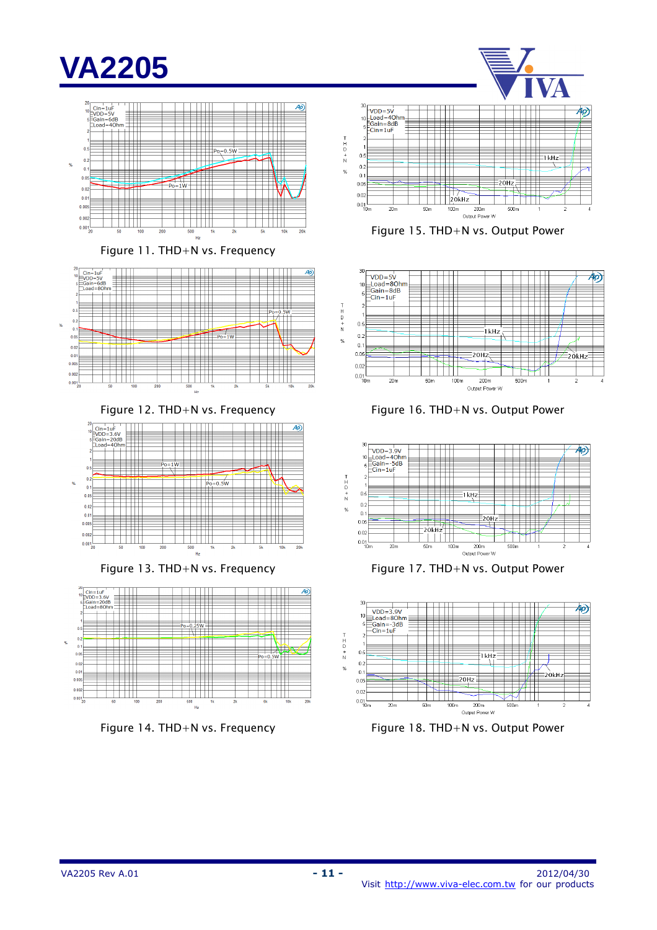

Figure 11. THD+N vs. Frequency



Figure 12. THD+N vs. Frequency



Figure 13. THD+N vs. Frequency







 $30$ —<br>VDD=5V<br>≡Load=8Ohn<br>≣Gain=8dB  $10$ -oain-oc<br>-Cin=1uF  $\begin{array}{c}\nT \\
R\n\end{array}$ ╞╪╪╡  $0.5$  $\Box$ Ī kHz  $0.2$  $%$  $0.1$  $\frac{1}{\sqrt{2}}$  $0.05$ €  $20H<sub>2</sub>$ .<br>20kHz  $0.02$  $\Box$ ¥1 I  $0.01$ <br>10m  $\frac{1}{20m}$  $\frac{1}{50m}$  $\frac{1}{100}$ m  $\frac{1}{200}$ m  $\frac{1}{500m}$ Output Power W

Figure 16. THD+N vs. Output Power







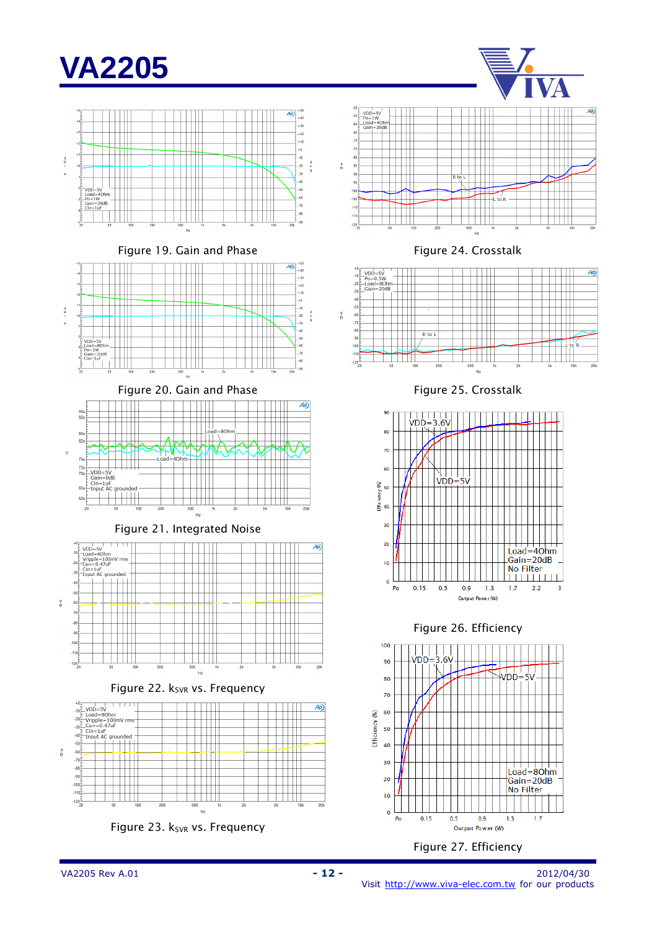

Figure 19. Gain and Phase







Figure 21. Integrated Noise



Figure 22. k<sub>SVR</sub> vs. Frequency







Figure 24. Crosstalk



Figure 25. Crosstalk



Figure 26. Efficiency



#### Figure 27. Efficiency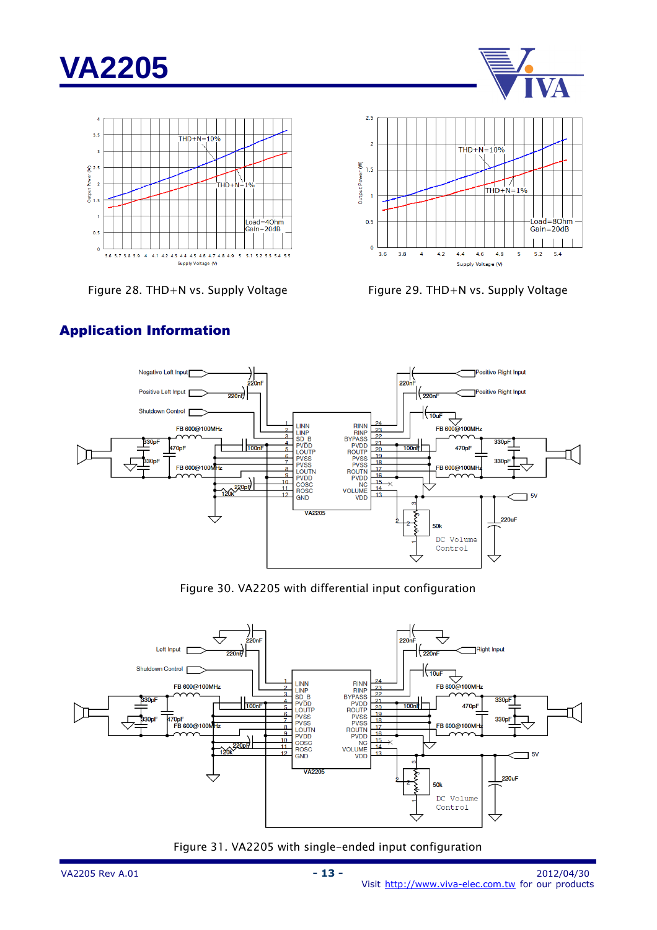





Figure 28. THD+N vs. Supply Voltage Figure 29. THD+N vs. Supply Voltage





#### Application Information

Figure 30. VA2205 with differential input configuration



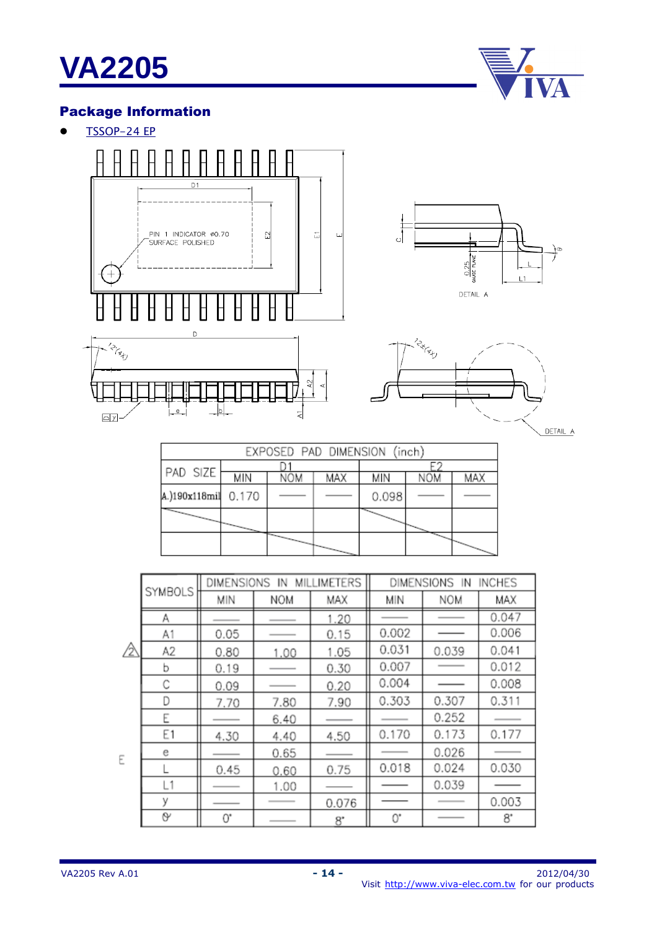

## Package Information

 $\bullet$  TSSOP-24 EP



|                     | EXPOSED PAD DIMENSION (inch) |     |                          |       |     |     |
|---------------------|------------------------------|-----|--------------------------|-------|-----|-----|
|                     |                              |     |                          |       |     |     |
| PAD SIZE            | МIN                          | NOM | MAX                      | МIN   | NOM | MAX |
| A.)190x118mil 0.170 |                              |     |                          | 0.098 |     |     |
|                     |                              |     |                          |       |     |     |
|                     |                              |     | $\overline{\phantom{0}}$ |       |     |     |

|   |                |      | DIMENSIONS IN MILLIMETERS |       |       | DIMENSIONS IN | <b>INCHES</b> |
|---|----------------|------|---------------------------|-------|-------|---------------|---------------|
|   | SYMBOLS        | MIN  | <b>NOM</b>                | MAX   | MIN   | <b>NOM</b>    | MAX           |
|   | Α              |      |                           | 1.20  |       |               | 0.047         |
|   | A1             | 0.05 |                           | 0.15  | 0.002 |               | 0.006         |
| △ | A2             | 0.80 | 1.00                      | 1.05  | 0.031 | 0.039         | 0.041         |
|   | ь              | 0.19 |                           | 0.30  | 0.007 |               | 0.012         |
|   | С              | 0.09 |                           | 0.20  | 0.004 |               | 0.008         |
|   | D              | 7.70 | 7.80                      | 7.90  | 0.303 | 0.307         | 0.311         |
|   | Ε              |      | 6.40                      |       |       | 0.252         |               |
|   | E <sub>1</sub> | 4.30 | 4.40                      | 4.50  | 0.170 | 0.173         | 0.177         |
|   | е              |      | 0.65                      |       |       | 0.026         |               |
|   |                | 0.45 | 0.60                      | 0.75  | 0.018 | 0.024         | 0.030         |
|   | L1             |      | 1.00                      |       |       | 0.039         |               |
|   | У              |      |                           | 0.076 |       |               | 0.003         |
|   | O              | 0.   |                           | ъ.    | 0,    |               | 8.            |

 $\mathsf E$